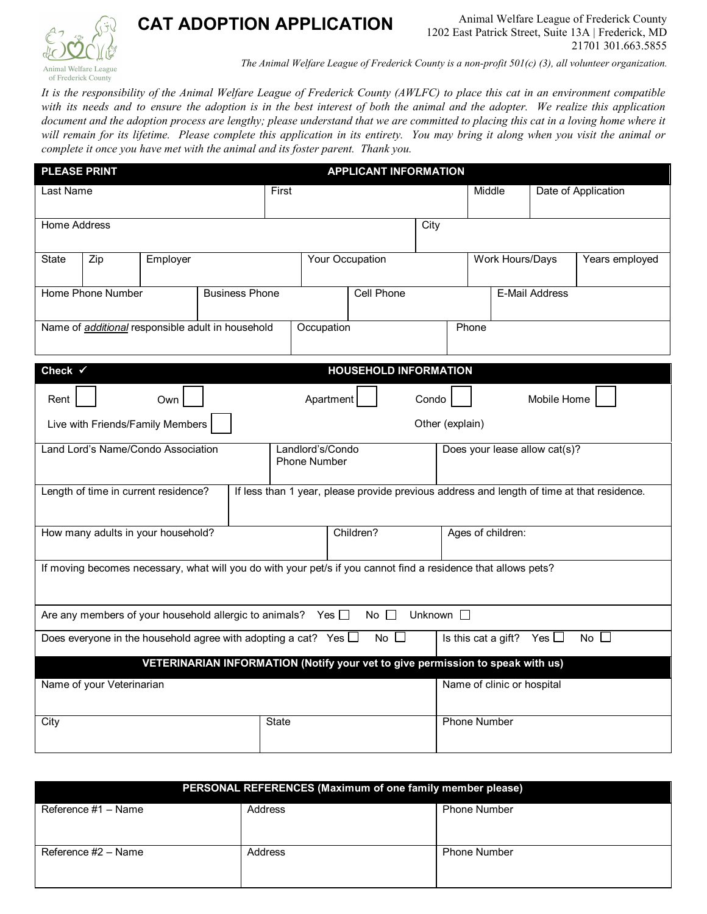

## **CAT ADOPTION APPLICATION**

*The Animal Welfare League of Frederick County is a non-profit 501(c) (3), all volunteer organization.*

*It is the responsibility of the Animal Welfare League of Frederick County (AWLFC) to place this cat in an environment compatible with its needs and to ensure the adoption is in the best interest of both the animal and the adopter. We realize this application document and the adoption process are lengthy; please understand that we are committed to placing this cat in a loving home where it will remain for its lifetime. Please complete this application in its entirety. You may bring it along when you visit the animal or complete it once you have met with the animal and its foster parent. Thank you.*

| <b>PLEASE PRINT</b>                                      |                                                                                                                |          |                                                                                |           | <b>APPLICANT INFORMATION</b>            |       |              |                              |                                   |             |                                   |                                                                                            |  |
|----------------------------------------------------------|----------------------------------------------------------------------------------------------------------------|----------|--------------------------------------------------------------------------------|-----------|-----------------------------------------|-------|--------------|------------------------------|-----------------------------------|-------------|-----------------------------------|--------------------------------------------------------------------------------------------|--|
| Last Name                                                |                                                                                                                |          |                                                                                |           | First                                   |       |              |                              |                                   | Middle      |                                   | Date of Application                                                                        |  |
| <b>Home Address</b>                                      |                                                                                                                |          |                                                                                |           |                                         |       |              | City                         |                                   |             |                                   |                                                                                            |  |
|                                                          |                                                                                                                |          |                                                                                |           |                                         |       |              |                              |                                   |             |                                   |                                                                                            |  |
| State                                                    | Zip                                                                                                            | Employer |                                                                                |           | <b>Your Occupation</b>                  |       |              |                              | Work Hours/Days<br>Years employed |             |                                   |                                                                                            |  |
| <b>Home Phone Number</b><br><b>Business Phone</b>        |                                                                                                                |          |                                                                                |           | <b>Cell Phone</b>                       |       |              |                              | <b>E-Mail Address</b>             |             |                                   |                                                                                            |  |
|                                                          |                                                                                                                |          |                                                                                |           |                                         |       |              |                              |                                   |             |                                   |                                                                                            |  |
| Name of <i>additional</i> responsible adult in household |                                                                                                                |          |                                                                                |           | Occupation                              |       |              | Phone                        |                                   |             |                                   |                                                                                            |  |
| Check $\checkmark$                                       |                                                                                                                |          |                                                                                |           |                                         |       |              | <b>HOUSEHOLD INFORMATION</b> |                                   |             |                                   |                                                                                            |  |
| Rent                                                     | Own                                                                                                            |          |                                                                                |           | Apartment                               | Condo |              |                              |                                   | Mobile Home |                                   |                                                                                            |  |
|                                                          | Live with Friends/Family Members<br>Other (explain)                                                            |          |                                                                                |           |                                         |       |              |                              |                                   |             |                                   |                                                                                            |  |
| Land Lord's Name/Condo Association                       |                                                                                                                |          |                                                                                |           | Landlord's/Condo<br><b>Phone Number</b> |       |              |                              | Does your lease allow cat(s)?     |             |                                   |                                                                                            |  |
|                                                          | Length of time in current residence?                                                                           |          |                                                                                |           |                                         |       |              |                              |                                   |             |                                   | If less than 1 year, please provide previous address and length of time at that residence. |  |
| How many adults in your household?                       |                                                                                                                |          |                                                                                | Children? |                                         |       |              | Ages of children:            |                                   |             |                                   |                                                                                            |  |
|                                                          | If moving becomes necessary, what will you do with your pet/s if you cannot find a residence that allows pets? |          |                                                                                |           |                                         |       |              |                              |                                   |             |                                   |                                                                                            |  |
|                                                          | Are any members of your household allergic to animals? Yes $\Box$                                              |          |                                                                                |           |                                         |       | No $\square$ | Unknown $\square$            |                                   |             |                                   |                                                                                            |  |
|                                                          | Does everyone in the household agree with adopting a cat? Yes $\Box$                                           |          |                                                                                |           |                                         |       | No l         |                              |                                   |             | Is this cat a gift? Yes $\square$ | No                                                                                         |  |
|                                                          |                                                                                                                |          | VETERINARIAN INFORMATION (Notify your vet to give permission to speak with us) |           |                                         |       |              |                              |                                   |             |                                   |                                                                                            |  |
| Name of your Veterinarian                                |                                                                                                                |          |                                                                                |           |                                         |       |              |                              | Name of clinic or hospital        |             |                                   |                                                                                            |  |
| City<br>State                                            |                                                                                                                |          |                                                                                |           |                                         |       |              | <b>Phone Number</b>          |                                   |             |                                   |                                                                                            |  |

|                     | PERSONAL REFERENCES (Maximum of one family member please) |                     |
|---------------------|-----------------------------------------------------------|---------------------|
| Reference #1 - Name | Address                                                   | <b>Phone Number</b> |
| Reference #2 - Name | Address                                                   | <b>Phone Number</b> |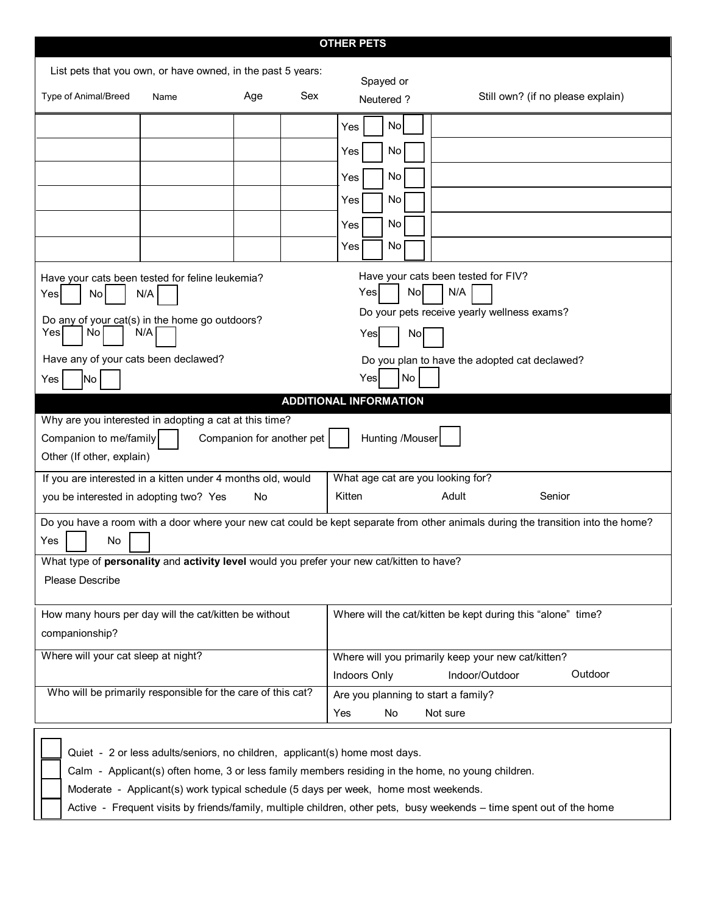|                                                                                                                                                                                                                                                                                                                                                                                      |      |     |     | <b>OTHER PETS</b>                                                                         |                                                             |         |  |  |
|--------------------------------------------------------------------------------------------------------------------------------------------------------------------------------------------------------------------------------------------------------------------------------------------------------------------------------------------------------------------------------------|------|-----|-----|-------------------------------------------------------------------------------------------|-------------------------------------------------------------|---------|--|--|
| List pets that you own, or have owned, in the past 5 years:                                                                                                                                                                                                                                                                                                                          |      |     |     |                                                                                           |                                                             |         |  |  |
|                                                                                                                                                                                                                                                                                                                                                                                      |      |     |     | Spayed or                                                                                 |                                                             |         |  |  |
| Type of Animal/Breed                                                                                                                                                                                                                                                                                                                                                                 | Name | Age | Sex | Neutered?                                                                                 | Still own? (if no please explain)                           |         |  |  |
|                                                                                                                                                                                                                                                                                                                                                                                      |      |     |     | No<br>Yes                                                                                 |                                                             |         |  |  |
|                                                                                                                                                                                                                                                                                                                                                                                      |      |     |     | No<br>Yes                                                                                 |                                                             |         |  |  |
|                                                                                                                                                                                                                                                                                                                                                                                      |      |     |     | Yes<br>No                                                                                 |                                                             |         |  |  |
|                                                                                                                                                                                                                                                                                                                                                                                      |      |     |     | No<br>Yes                                                                                 |                                                             |         |  |  |
|                                                                                                                                                                                                                                                                                                                                                                                      |      |     |     | Yes<br>No                                                                                 |                                                             |         |  |  |
|                                                                                                                                                                                                                                                                                                                                                                                      |      |     |     | No<br>Yes                                                                                 |                                                             |         |  |  |
| Have your cats been tested for FIV?<br>Have your cats been tested for feline leukemia?<br>N/A<br>No<br>Yes<br>N/A<br>Yes<br>No<br>Do your pets receive yearly wellness exams?<br>Do any of your cat(s) in the home go outdoors?<br>Yes<br>No<br>N/A<br>Yes<br>No<br>Have any of your cats been declawed?<br>Do you plan to have the adopted cat declawed?<br>No<br>Yes<br> No<br>Yes |      |     |     |                                                                                           |                                                             |         |  |  |
| <b>ADDITIONAL INFORMATION</b><br>Why are you interested in adopting a cat at this time?                                                                                                                                                                                                                                                                                              |      |     |     |                                                                                           |                                                             |         |  |  |
| Companion to me/family                                                                                                                                                                                                                                                                                                                                                               |      |     |     | Hunting /Mouser                                                                           |                                                             |         |  |  |
| Companion for another pet<br>Other (If other, explain)                                                                                                                                                                                                                                                                                                                               |      |     |     |                                                                                           |                                                             |         |  |  |
| If you are interested in a kitten under 4 months old, would<br>What age cat are you looking for?                                                                                                                                                                                                                                                                                     |      |     |     |                                                                                           |                                                             |         |  |  |
| Kitten<br>Adult<br>you be interested in adopting two? Yes<br>No<br>Senior                                                                                                                                                                                                                                                                                                            |      |     |     |                                                                                           |                                                             |         |  |  |
| Do you have a room with a door where your new cat could be kept separate from other animals during the transition into the home?<br>Yes<br>No                                                                                                                                                                                                                                        |      |     |     |                                                                                           |                                                             |         |  |  |
|                                                                                                                                                                                                                                                                                                                                                                                      |      |     |     | What type of personality and activity level would you prefer your new cat/kitten to have? |                                                             |         |  |  |
| Please Describe                                                                                                                                                                                                                                                                                                                                                                      |      |     |     |                                                                                           |                                                             |         |  |  |
| How many hours per day will the cat/kitten be without                                                                                                                                                                                                                                                                                                                                |      |     |     |                                                                                           | Where will the cat/kitten be kept during this "alone" time? |         |  |  |
| companionship?                                                                                                                                                                                                                                                                                                                                                                       |      |     |     |                                                                                           |                                                             |         |  |  |
| Where will your cat sleep at night?                                                                                                                                                                                                                                                                                                                                                  |      |     |     | Where will you primarily keep your new cat/kitten?                                        |                                                             |         |  |  |
|                                                                                                                                                                                                                                                                                                                                                                                      |      |     |     | Indoors Only                                                                              | Indoor/Outdoor                                              | Outdoor |  |  |
| Who will be primarily responsible for the care of this cat?                                                                                                                                                                                                                                                                                                                          |      |     |     | Are you planning to start a family?                                                       |                                                             |         |  |  |
|                                                                                                                                                                                                                                                                                                                                                                                      |      |     |     | Yes<br>No                                                                                 | Not sure                                                    |         |  |  |
|                                                                                                                                                                                                                                                                                                                                                                                      |      |     |     | Quiet - 2 or less adults/seniors, no children, applicant(s) home most days.               |                                                             |         |  |  |

Calm - Applicant(s) often home, 3 or less family members residing in the home, no young children.

Moderate - Applicant(s) work typical schedule (5 days per week, home most weekends.

Active - Frequent visits by friends/family, multiple children, other pets, busy weekends – time spent out of the home